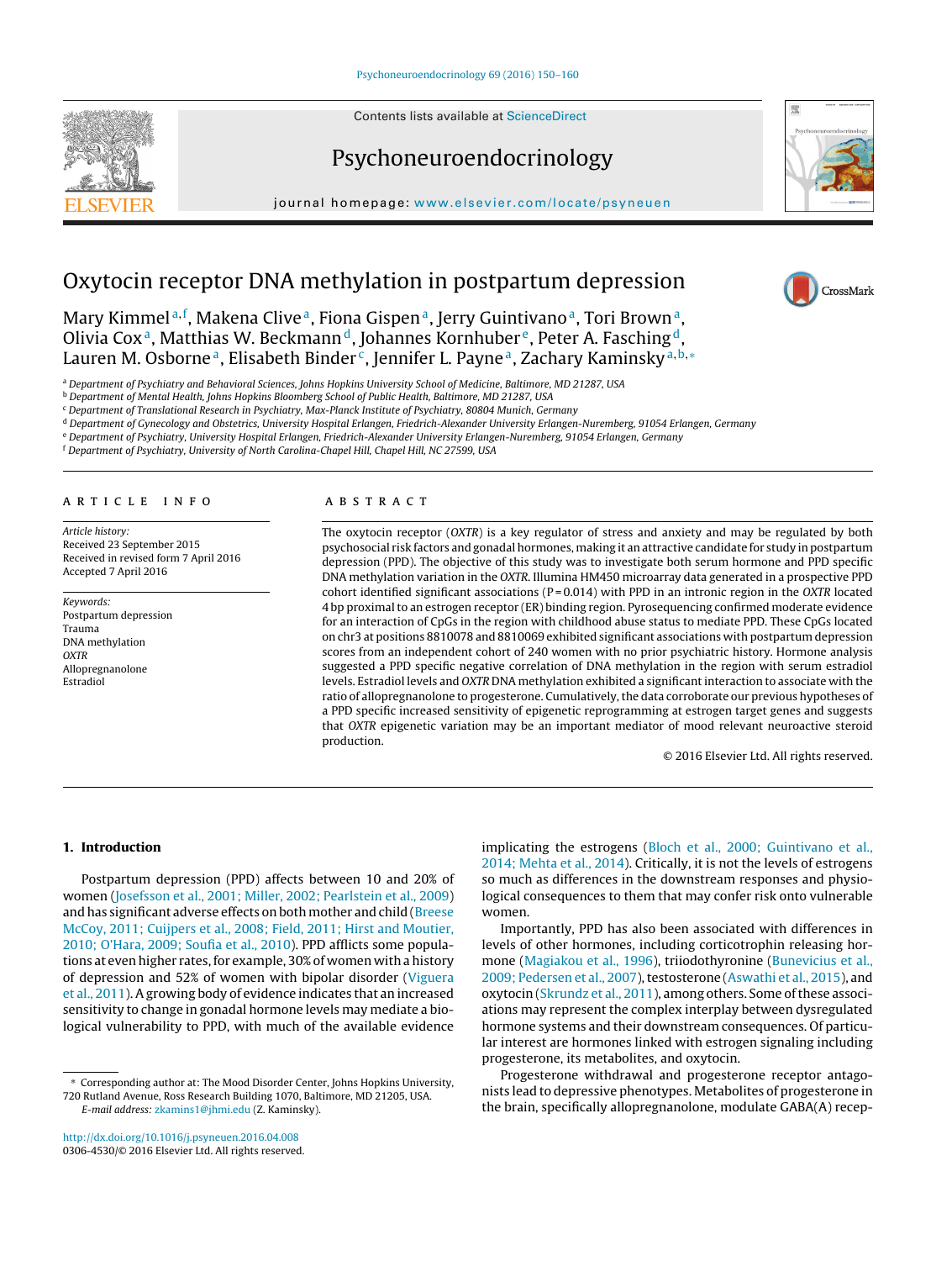Contents lists available at [ScienceDirect](http://www.sciencedirect.com/science/journal/03064530)





journal homepage: [www.elsevier.com/locate/psyneuen](http://www.elsevier.com/locate/psyneuen)



CrossMark

# Oxytocin receptor DNA methylation in postpartum depression

Mary Kimmel<sup>a,f</sup>, Makena Clive<sup>a</sup>, Fiona Gispen<sup>a</sup>, Jerry Guintivano<sup>a</sup>, Tori Brown<sup>a</sup>, Olivia Cox<sup>a</sup>, Matthias W. Beckmann<sup>d</sup>, Johannes Kornhuber<sup>e</sup>, Peter A. Fasching<sup>d</sup>, Lauren M. Osborne<sup>a</sup>, Elisabeth Binder<sup>c</sup>, Jennifer L. Payne<sup>a</sup>, Zachary Kaminsky<sup>a,b,\*</sup>

<sup>a</sup> Department of Psychiatry and Behavioral Sciences, Johns Hopkins University School of Medicine, Baltimore, MD 21287, USA

<sup>b</sup> Department of Mental Health, Johns Hopkins Bloomberg School of Public Health, Baltimore, MD 21287, USA

<sup>c</sup> Department of Translational Research in Psychiatry, Max-Planck Institute of Psychiatry, 80804 Munich, Germany

<sup>d</sup> Department of Gynecology and Obstetrics, University Hospital Erlangen, Friedrich-Alexander University Erlangen-Nuremberg, 91054 Erlangen, Germany

<sup>e</sup> Department of Psychiatry, University Hospital Erlangen, Friedrich-Alexander University Erlangen-Nuremberg, 91054 Erlangen, Germany

<sup>f</sup> Department of Psychiatry, University of North Carolina-Chapel Hill, Chapel Hill, NC 27599, USA

## a r t i c l e i n f o

Article history: Received 23 September 2015 Received in revised form 7 April 2016 Accepted 7 April 2016

Keywords: Postpartum depression Trauma DNA methylation **OXTR** Allopregnanolone Estradiol

#### A B S T R A C T

The oxytocin receptor (OXTR) is a key regulator of stress and anxiety and may be regulated by both psychosocial risk factors and gonadal hormones, making it an attractive candidate for study in postpartum depression (PPD). The objective of this study was to investigate both serum hormone and PPD specific DNA methylation variation in the OXTR. Illumina HM450 microarray data generated in a prospective PPD cohort identified significant associations ( $P = 0.014$ ) with PPD in an intronic region in the OXTR located 4 bp proximal to an estrogen receptor (ER) binding region. Pyrosequencing confirmed moderate evidence for an interaction of CpGs in the region with childhood abuse status to mediate PPD. These CpGs located on chr3 at positions 8810078 and 8810069 exhibited significant associations with postpartum depression scores from an independent cohort of 240 women with no prior psychiatric history. Hormone analysis suggested a PPD specific negative correlation of DNA methylation in the region with serum estradiol levels. Estradiol levels and OXTR DNA methylation exhibited a significantinteraction to associate with the ratio of allopregnanolone to progesterone. Cumulatively, the data corroborate our previous hypotheses of a PPD specific increased sensitivity of epigenetic reprogramming at estrogen target genes and suggests that OXTR epigenetic variation may be an important mediator of mood relevant neuroactive steroid production.

© 2016 Elsevier Ltd. All rights reserved.

### **1. Introduction**

Postpartum depression (PPD) affects between 10 and 20% of women ([Josefsson](#page--1-0) et [al.,](#page--1-0) [2001;](#page--1-0) [Miller,](#page--1-0) [2002;](#page--1-0) [Pearlstein](#page--1-0) et [al.,](#page--1-0) [2009\)](#page--1-0) and has significant adverse effects on both mother and child [\(Breese](#page--1-0) [McCoy,](#page--1-0) [2011;](#page--1-0) [Cuijpers](#page--1-0) et [al.,](#page--1-0) [2008;](#page--1-0) [Field,](#page--1-0) [2011;](#page--1-0) [Hirst](#page--1-0) [and](#page--1-0) [Moutier,](#page--1-0) [2010;](#page--1-0) [O'Hara,](#page--1-0) [2009;](#page--1-0) [Soufia](#page--1-0) et [al.,](#page--1-0) [2010\).](#page--1-0) PPD afflicts some populations at even higher rates, for example, 30% of women with a history of depression and 52% of women with bipolar disorder ([Viguera](#page--1-0) et [al.,](#page--1-0) [2011\).](#page--1-0) A growing body of evidence indicates that an increased sensitivity to change in gonadal hormone levels may mediate a biological vulnerability to PPD, with much of the available evidence

∗ Corresponding author at: The Mood Disorder Center, Johns Hopkins University, 720 Rutland Avenue, Ross Research Building 1070, Baltimore, MD 21205, USA. E-mail address: [zkamins1@jhmi.edu](mailto:zkamins1@jhmi.edu) (Z. Kaminsky).

implicating the estrogens ([Bloch](#page--1-0) et [al.,](#page--1-0) [2000;](#page--1-0) [Guintivano](#page--1-0) et [al.,](#page--1-0) [2014;](#page--1-0) [Mehta](#page--1-0) et [al.,](#page--1-0) [2014\).](#page--1-0) Critically, it is not the levels of estrogens so much as differences in the downstream responses and physiological consequences to them that may confer risk onto vulnerable women.

Importantly, PPD has also been associated with differences in levels of other hormones, including corticotrophin releasing hormone ([Magiakou](#page--1-0) et [al.,](#page--1-0) [1996\),](#page--1-0) triiodothyronine [\(Bunevicius](#page--1-0) et [al.,](#page--1-0) [2009;](#page--1-0) [Pedersen](#page--1-0) et [al.,](#page--1-0) [2007\),](#page--1-0) testosterone ([Aswathi](#page--1-0) et al., [2015\),](#page--1-0) and oxytocin ([Skrundz](#page--1-0) et [al.,](#page--1-0) [2011\),](#page--1-0) among others. Some of these associations may represent the complex interplay between dysregulated hormone systems and their downstream consequences. Of particular interest are hormones linked with estrogen signaling including progesterone, its metabolites, and oxytocin.

Progesterone withdrawal and progesterone receptor antagonists lead to depressive phenotypes. Metabolites of progesterone in the brain, specifically allopregnanolone, modulate GABA(A) recep-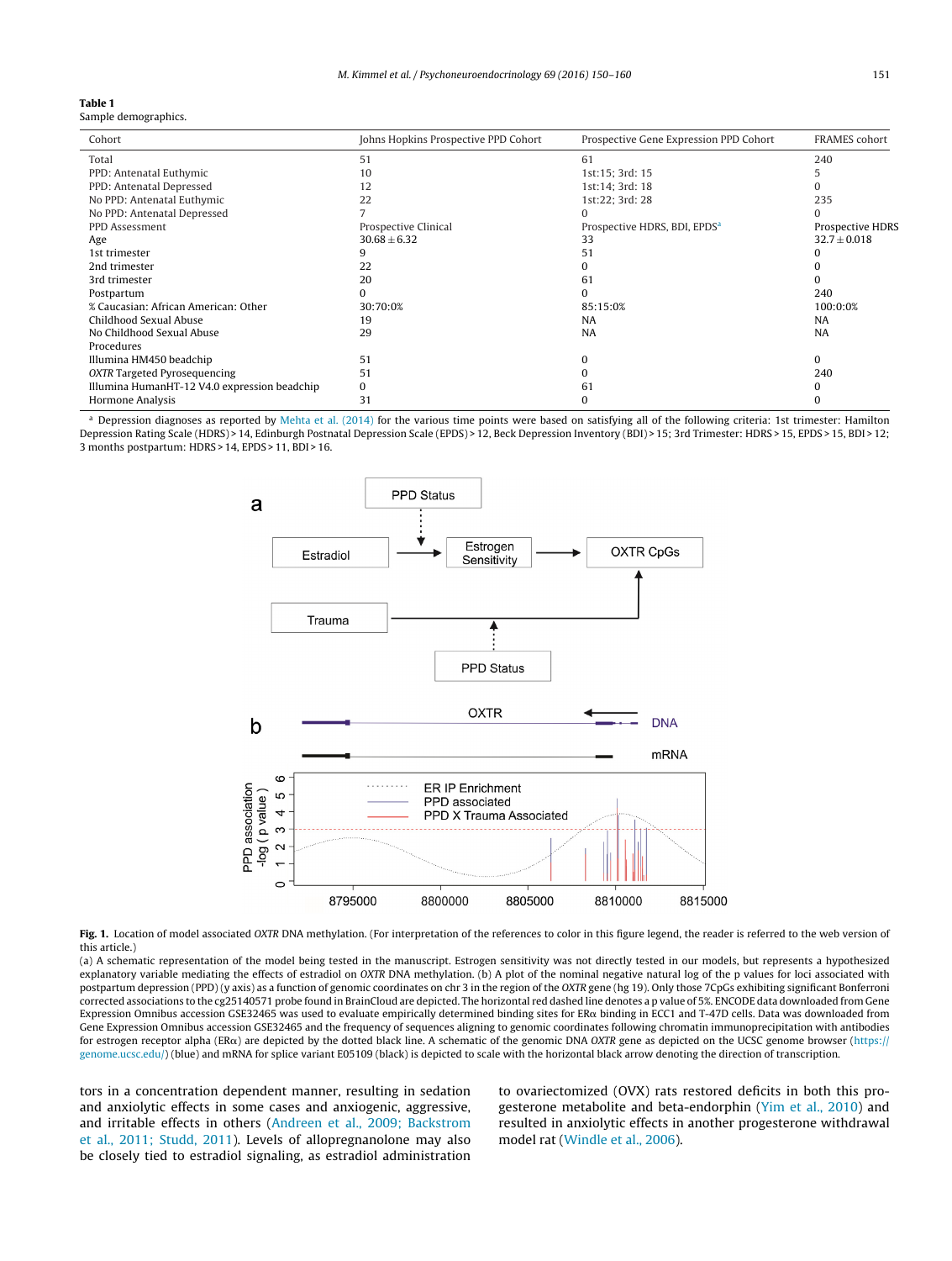#### **Table 1**

Sample demographics.

| Cohort                                       | Johns Hopkins Prospective PPD Cohort | Prospective Gene Expression PPD Cohort   | <b>FRAMES</b> cohort |
|----------------------------------------------|--------------------------------------|------------------------------------------|----------------------|
| Total                                        | 51                                   | 61                                       | 240                  |
| PPD: Antenatal Euthymic                      | 10                                   | 1st:15; 3rd: 15                          |                      |
| PPD: Antenatal Depressed                     | 12                                   | 1st:14; 3rd: 18                          |                      |
| No PPD: Antenatal Euthymic                   | 22                                   | 1st:22; 3rd: 28                          | 235                  |
| No PPD: Antenatal Depressed                  |                                      |                                          |                      |
| PPD Assessment                               | Prospective Clinical                 | Prospective HDRS, BDI, EPDS <sup>a</sup> | Prospective HDRS     |
| Age                                          | $30.68 \pm 6.32$                     | 33                                       | $32.7 \pm 0.018$     |
| 1st trimester                                |                                      | 51                                       |                      |
| 2nd trimester                                | 22                                   |                                          |                      |
| 3rd trimester                                | 20                                   | 61                                       |                      |
| Postpartum                                   |                                      |                                          | 240                  |
| % Caucasian: African American: Other         | 30:70:0%                             | 85:15:0%                                 | 100:0:0%             |
| Childhood Sexual Abuse                       | 19                                   | NA                                       | <b>NA</b>            |
| No Childhood Sexual Abuse                    | 29                                   | <b>NA</b>                                | <b>NA</b>            |
| Procedures                                   |                                      |                                          |                      |
| Illumina HM450 beadchip                      | 51                                   |                                          | 0                    |
| OXTR Targeted Pyrosequencing                 | 51                                   |                                          | 240                  |
| Illumina HumanHT-12 V4.0 expression beadchip | $\Omega$                             | 61                                       |                      |
| <b>Hormone Analysis</b>                      | 31                                   |                                          |                      |

 $a$  Depression diagnoses as reported by [Mehta](#page--1-0) et [al.](#page--1-0) [\(2014\)](#page--1-0) for the various time points were based on satisfying all of the following criteria: 1st trimester: Hamilton Depression Rating Scale (HDRS) > 14, Edinburgh Postnatal Depression Scale (EPDS) > 12, Beck Depression Inventory (BDI) > 15; 3rd Trimester: HDRS > 15, EPDS > 15, BDI > 12; 3 months postpartum: HDRS > 14, EPDS > 11, BDI > 16.



Fig. 1. Location of model associated OXTR DNA methylation. (For interpretation of the references to color in this figure legend, the reader is referred to the web version of this article.)

(a) A schematic representation of the model being tested in the manuscript. Estrogen sensitivity was not directly tested in our models, but represents a hypothesized explanatory variable mediating the effects of estradiol on OXTR DNA methylation. (b) A plot of the nominal negative natural log of the p values for loci associated with postpartum depression (PPD) (y axis) as a function of genomic coordinates on chr 3 in the region of the OXTR gene (hg 19). Only those 7CpGs exhibiting significant Bonferroni corrected associations to the cg25140571 probe found in BrainCloud are depicted. The horizontal red dashed line denotes a p value of 5%. ENCODE data downloaded from Gene Expression Omnibus accession GSE32465 was used to evaluate empirically determined binding sites for ER $\alpha$  binding in ECC1 and T-47D cells. Data was downloaded from Gene Expression Omnibus accession GSE32465 and the frequency of sequences aligning to genomic coordinates following chromatin immunoprecipitation with antibodies for estrogen receptor alpha (ER $\alpha$ ) are depicted by the dotted black line. A schematic of the genomic DNA OXTR gene as depicted on the UCSC genome browser ([https://](http://https://genome.ucsc.edu/) [genome.ucsc.edu/](http://https://genome.ucsc.edu/)) (blue) and mRNA for splice variant E05109 (black) is depicted to scale with the horizontal black arrow denoting the direction of transcription.

tors in a concentration dependent manner, resulting in sedation and anxiolytic effects in some cases and anxiogenic, aggressive, and irritable effects in others [\(Andreen](#page--1-0) et [al.,](#page--1-0) [2009;](#page--1-0) [Backstrom](#page--1-0) et [al.,](#page--1-0) [2011;](#page--1-0) [Studd,](#page--1-0) [2011\).](#page--1-0) Levels of allopregnanolone may also be closely tied to estradiol signaling, as estradiol administration

to ovariectomized (OVX) rats restored deficits in both this progesterone metabolite and beta-endorphin [\(Yim](#page--1-0) et [al.,](#page--1-0) [2010\)](#page--1-0) and resulted in anxiolytic effects in another progesterone withdrawal model rat [\(Windle](#page--1-0) et [al.,](#page--1-0) [2006\).](#page--1-0)